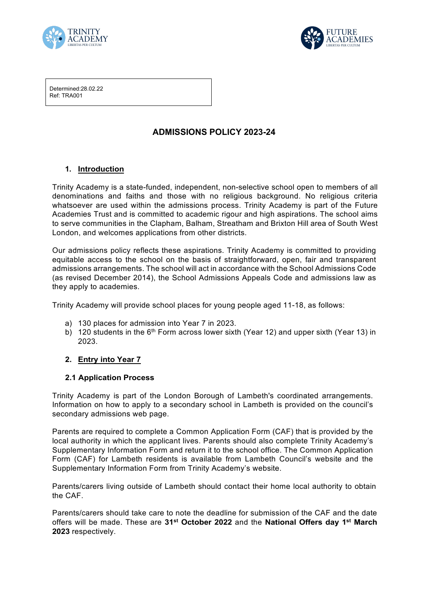



Determined:28.02.22 Ref: TRA001

# **ADMISSIONS POLICY 2023-24**

### **1. Introduction**

Trinity Academy is a state-funded, independent, non-selective school open to members of all denominations and faiths and those with no religious background. No religious criteria whatsoever are used within the admissions process. Trinity Academy is part of the Future Academies Trust and is committed to academic rigour and high aspirations. The school aims to serve communities in the Clapham, Balham, Streatham and Brixton Hill area of South West London, and welcomes applications from other districts.

Our admissions policy reflects these aspirations. Trinity Academy is committed to providing equitable access to the school on the basis of straightforward, open, fair and transparent admissions arrangements. The school will act in accordance with the School Admissions Code (as revised December 2014), the School Admissions Appeals Code and admissions law as they apply to academies.

Trinity Academy will provide school places for young people aged 11-18, as follows:

- a) 130 places for admission into Year 7 in 2023.
- b) 120 students in the  $6<sup>th</sup>$  Form across lower sixth (Year 12) and upper sixth (Year 13) in 2023.

### **2. Entry into Year 7**

### **2.1 Application Process**

Trinity Academy is part of the London Borough of Lambeth's coordinated arrangements. Information on how to apply to a secondary school in Lambeth is provided on the council's secondary admissions web page.

Parents are required to complete a Common Application Form (CAF) that is provided by the local authority in which the applicant lives. Parents should also complete Trinity Academy's Supplementary Information Form and return it to the school office. The Common Application Form (CAF) for Lambeth residents is available from Lambeth Council's website and the Supplementary Information Form from Trinity Academy's website.

Parents/carers living outside of Lambeth should contact their home local authority to obtain the CAF.

Parents/carers should take care to note the deadline for submission of the CAF and the date offers will be made. These are **31st October 2022** and the **National Offers day 1st March 2023** respectively.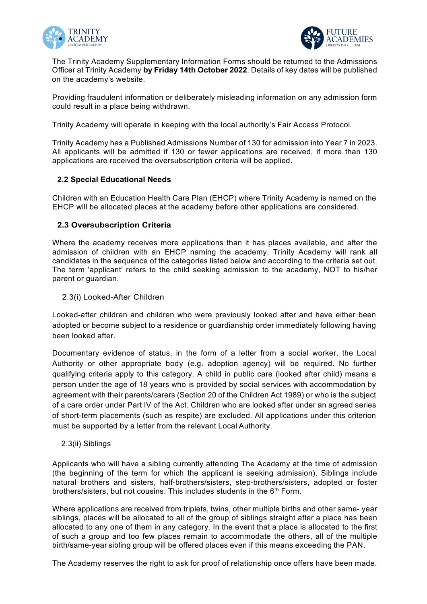



The Trinity Academy Supplementary Information Forms should be returned to the Admissions Officer at Trinity Academy **by Friday 14th October 2022**. Details of key dates will be published on the academy's website.

Providing fraudulent information or deliberately misleading information on any admission form could result in a place being withdrawn.

Trinity Academy will operate in keeping with the local authority's Fair Access Protocol.

Trinity Academy has a Published Admissions Number of 130 for admission into Year 7 in 2023. All applicants will be admitted if 130 or fewer applications are received, if more than 130 applications are received the oversubscription criteria will be applied.

### **2.2 Special Educational Needs**

Children with an Education Health Care Plan (EHCP) where Trinity Academy is named on the EHCP will be allocated places at the academy before other applications are considered.

### **2.3 Oversubscription Criteria**

Where the academy receives more applications than it has places available, and after the admission of children with an EHCP naming the academy, Trinity Academy will rank all candidates in the sequence of the categories listed below and according to the criteria set out. The term 'applicant' refers to the child seeking admission to the academy, NOT to his/her parent or guardian.

#### 2.3(i) Looked-After Children

Looked-after children and children who were previously looked after and have either been adopted or become subject to a residence or guardianship order immediately following having been looked after.

Documentary evidence of status, in the form of a letter from a social worker, the Local Authority or other appropriate body (e.g. adoption agency) will be required. No further qualifying criteria apply to this category. A child in public care (looked after child) means a person under the age of 18 years who is provided by social services with accommodation by agreement with their parents/carers (Section 20 of the Children Act 1989) or who is the subject of a care order under Part IV of the Act. Children who are looked after under an agreed series of short-term placements (such as respite) are excluded. All applications under this criterion must be supported by a letter from the relevant Local Authority.

#### 2.3(ii) Siblings

Applicants who will have a sibling currently attending The Academy at the time of admission (the beginning of the term for which the applicant is seeking admission). Siblings include natural brothers and sisters, half-brothers/sisters, step-brothers/sisters, adopted or foster brothers/sisters, but not cousins. This includes students in the 6<sup>th</sup> Form.

Where applications are received from triplets, twins, other multiple births and other same- year siblings, places will be allocated to all of the group of siblings straight after a place has been allocated to any one of them in any category. In the event that a place is allocated to the first of such a group and too few places remain to accommodate the others, all of the multiple birth/same-year sibling group will be offered places even if this means exceeding the PAN.

The Academy reserves the right to ask for proof of relationship once offers have been made.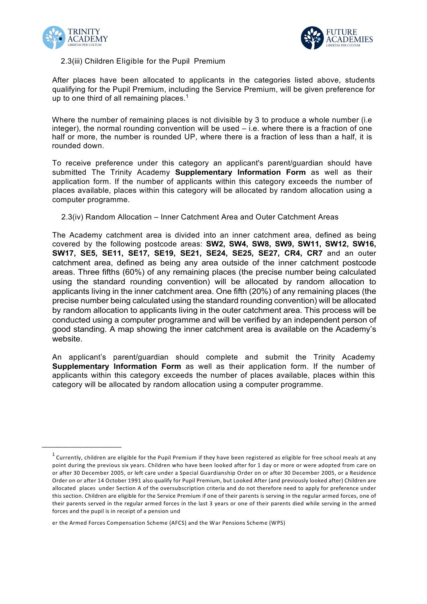

 $\overline{\phantom{a}}$  , where  $\overline{\phantom{a}}$  , where  $\overline{\phantom{a}}$  , where  $\overline{\phantom{a}}$ 



### 2.3(iii) Children Eligible for the Pupil Premium

After places have been allocated to applicants in the categories listed above, students qualifying for the Pupil Premium, including the Service Premium, will be given preference for up to one third of all remaining places.<sup>1</sup>

Where the number of remaining places is not divisible by 3 to produce a whole number (i.e integer), the normal rounding convention will be used – i.e. where there is a fraction of one half or more, the number is rounded UP, where there is a fraction of less than a half, it is rounded down.

To receive preference under this category an applicant's parent/guardian should have submitted The Trinity Academy **Supplementary Information Form** as well as their application form. If the number of applicants within this category exceeds the number of places available, places within this category will be allocated by random allocation using a computer programme.

2.3(iv) Random Allocation – Inner Catchment Area and Outer Catchment Areas

The Academy catchment area is divided into an inner catchment area, defined as being covered by the following postcode areas: **SW2, SW4, SW8, SW9, SW11, SW12, SW16, SW17, SE5, SE11, SE17, SE19, SE21, SE24, SE25, SE27, CR4, CR7** and an outer catchment area, defined as being any area outside of the inner catchment postcode areas. Three fifths (60%) of any remaining places (the precise number being calculated using the standard rounding convention) will be allocated by random allocation to applicants living in the inner catchment area. One fifth (20%) of any remaining places (the precise number being calculated using the standard rounding convention) will be allocated by random allocation to applicants living in the outer catchment area. This process will be conducted using a computer programme and will be verified by an independent person of good standing. A map showing the inner catchment area is available on the Academy's website.

An applicant's parent/guardian should complete and submit the Trinity Academy **Supplementary Information Form** as well as their application form. If the number of applicants within this category exceeds the number of places available, places within this category will be allocated by random allocation using a computer programme.

er the Armed Forces Compensation Scheme (AFCS) and the War Pensions Scheme (WPS)

 $1$  Currently, children are eligible for the Pupil Premium if they have been registered as eligible for free school meals at any point during the previous six years. Children who have been looked after for 1 day or more or were adopted from care on or after 30 December 2005, or left care under a Special Guardianship Order on or after 30 December 2005, or a Residence Order on or after 14 October 1991 also qualify for Pupil Premium, but Looked After (and previously looked after) Children are allocated places under Section A of the oversubscription criteria and do not therefore need to apply for preference under this section. Children are eligible for the Service Premium if one of their parents is serving in the regular armed forces, one of their parents served in the regular armed forces in the last 3 years or one of their parents died while serving in the armed forces and the pupil is in receipt of a pension und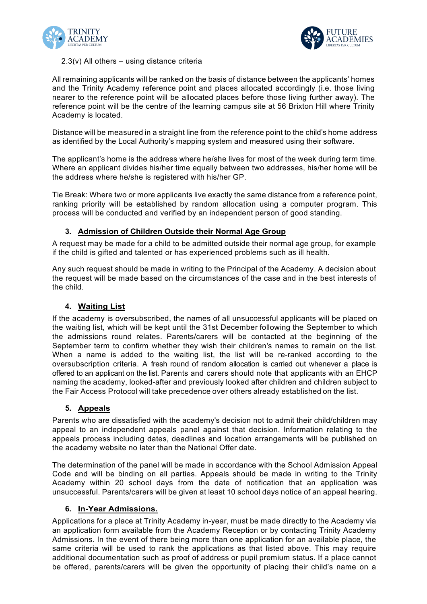



#### $2.3(v)$  All others – using distance criteria

All remaining applicants will be ranked on the basis of distance between the applicants' homes and the Trinity Academy reference point and places allocated accordingly (i.e. those living nearer to the reference point will be allocated places before those living further away). The reference point will be the centre of the learning campus site at 56 Brixton Hill where Trinity Academy is located.

Distance will be measured in a straight line from the reference point to the child's home address as identified by the Local Authority's mapping system and measured using their software.

The applicant's home is the address where he/she lives for most of the week during term time. Where an applicant divides his/her time equally between two addresses, his/her home will be the address where he/she is registered with his/her GP.

Tie Break: Where two or more applicants live exactly the same distance from a reference point, ranking priority will be established by random allocation using a computer program. This process will be conducted and verified by an independent person of good standing.

# **3. Admission of Children Outside their Normal Age Group**

A request may be made for a child to be admitted outside their normal age group, for example if the child is gifted and talented or has experienced problems such as ill health.

Any such request should be made in writing to the Principal of the Academy. A decision about the request will be made based on the circumstances of the case and in the best interests of the child.

## **4. Waiting List**

If the academy is oversubscribed, the names of all unsuccessful applicants will be placed on the waiting list, which will be kept until the 31st December following the September to which the admissions round relates. Parents/carers will be contacted at the beginning of the September term to confirm whether they wish their children's names to remain on the list. When a name is added to the waiting list, the list will be re-ranked according to the oversubscription criteria. A fresh round of random allocation is carried out whenever a place is offered to an applicant on the list. Parents and carers should note that applicants with an EHCP naming the academy, looked-after and previously looked after children and children subject to the Fair Access Protocol will take precedence over others already established on the list.

### **5. Appeals**

Parents who are dissatisfied with the academy's decision not to admit their child/children may appeal to an independent appeals panel against that decision. Information relating to the appeals process including dates, deadlines and location arrangements will be published on the academy website no later than the National Offer date.

The determination of the panel will be made in accordance with the School Admission Appeal Code and will be binding on all parties. Appeals should be made in writing to the Trinity Academy within 20 school days from the date of notification that an application was unsuccessful. Parents/carers will be given at least 10 school days notice of an appeal hearing.

### **6. In-Year Admissions.**

Applications for a place at Trinity Academy in-year, must be made directly to the Academy via an application form available from the Academy Reception or by contacting Trinity Academy Admissions. In the event of there being more than one application for an available place, the same criteria will be used to rank the applications as that listed above. This may require additional documentation such as proof of address or pupil premium status. If a place cannot be offered, parents/carers will be given the opportunity of placing their child's name on a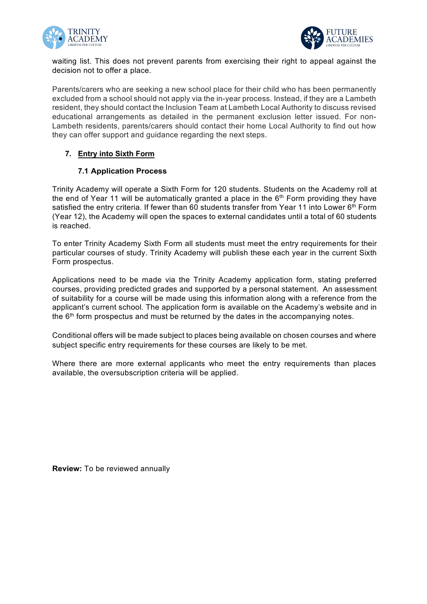



waiting list. This does not prevent parents from exercising their right to appeal against the decision not to offer a place.

Parents/carers who are seeking a new school place for their child who has been permanently excluded from a school should not apply via the in-year process. Instead, if they are a Lambeth resident, they should contact the Inclusion Team at Lambeth Local Authority to discuss revised educational arrangements as detailed in the permanent exclusion letter issued. For non-Lambeth residents, parents/carers should contact their home Local Authority to find out how they can offer support and guidance regarding the next steps.

### **7. Entry into Sixth Form**

### **7.1 Application Process**

Trinity Academy will operate a Sixth Form for 120 students. Students on the Academy roll at the end of Year 11 will be automatically granted a place in the  $6<sup>th</sup>$  Form providing they have satisfied the entry criteria. If fewer than 60 students transfer from Year 11 into Lower 6<sup>th</sup> Form (Year 12), the Academy will open the spaces to external candidates until a total of 60 students is reached.

To enter Trinity Academy Sixth Form all students must meet the entry requirements for their particular courses of study. Trinity Academy will publish these each year in the current Sixth Form prospectus.

Applications need to be made via the Trinity Academy application form, stating preferred courses, providing predicted grades and supported by a personal statement. An assessment of suitability for a course will be made using this information along with a reference from the applicant's current school. The application form is available on the Academy's website and in the  $6<sup>th</sup>$  form prospectus and must be returned by the dates in the accompanying notes.

Conditional offers will be made subject to places being available on chosen courses and where subject specific entry requirements for these courses are likely to be met.

Where there are more external applicants who meet the entry requirements than places available, the oversubscription criteria will be applied.

**Review:** To be reviewed annually